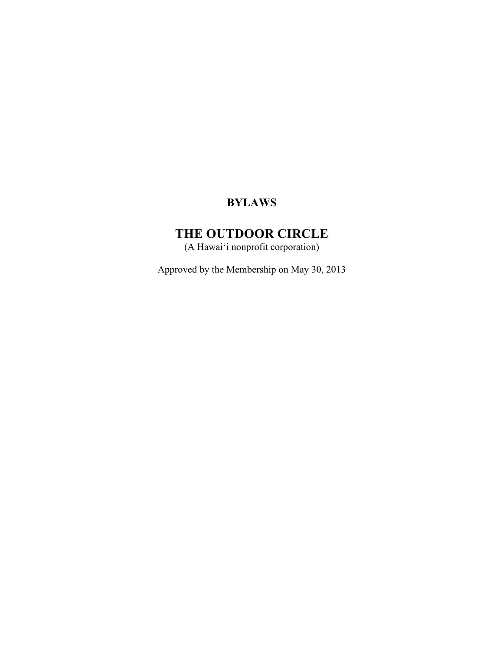# **BYLAWS**

# **THE OUTDOOR CIRCLE**

(A Hawai'i nonprofit corporation)

Approved by the Membership on May 30, 2013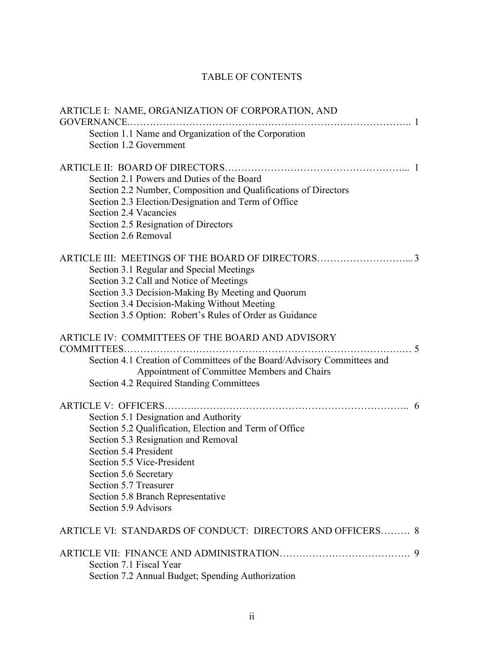## TABLE OF CONTENTS

| ARTICLE I: NAME, ORGANIZATION OF CORPORATION, AND<br>GOVERNANCE                                                                                                                                                                                                                                              |  |
|--------------------------------------------------------------------------------------------------------------------------------------------------------------------------------------------------------------------------------------------------------------------------------------------------------------|--|
| Section 1.1 Name and Organization of the Corporation<br>Section 1.2 Government                                                                                                                                                                                                                               |  |
| Section 2.1 Powers and Duties of the Board<br>Section 2.2 Number, Composition and Qualifications of Directors<br>Section 2.3 Election/Designation and Term of Office<br>Section 2.4 Vacancies<br>Section 2.5 Resignation of Directors<br>Section 2.6 Removal                                                 |  |
| Section 3.1 Regular and Special Meetings<br>Section 3.2 Call and Notice of Meetings<br>Section 3.3 Decision-Making By Meeting and Quorum<br>Section 3.4 Decision-Making Without Meeting<br>Section 3.5 Option: Robert's Rules of Order as Guidance                                                           |  |
| ARTICLE IV: COMMITTEES OF THE BOARD AND ADVISORY<br>$\sim$<br>COMMITTEES<br>Section 4.1 Creation of Committees of the Board/Advisory Committees and<br>Appointment of Committee Members and Chairs<br>Section 4.2 Required Standing Committees                                                               |  |
| Section 5.1 Designation and Authority<br>Section 5.2 Qualification, Election and Term of Office<br>Section 5.3 Resignation and Removal<br>Section 5.4 President<br>Section 5.5 Vice-President<br>Section 5.6 Secretary<br>Section 5.7 Treasurer<br>Section 5.8 Branch Representative<br>Section 5.9 Advisors |  |
| ARTICLE VI: STANDARDS OF CONDUCT: DIRECTORS AND OFFICERS 8                                                                                                                                                                                                                                                   |  |
| Section 7.1 Fiscal Year<br>Section 7.2 Annual Budget; Spending Authorization                                                                                                                                                                                                                                 |  |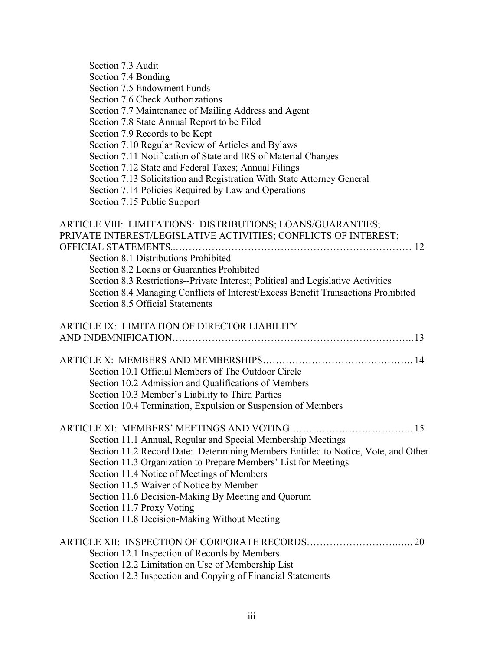| Section 7.3 Audit                                                                 |
|-----------------------------------------------------------------------------------|
| Section 7.4 Bonding                                                               |
| Section 7.5 Endowment Funds                                                       |
| Section 7.6 Check Authorizations                                                  |
| Section 7.7 Maintenance of Mailing Address and Agent                              |
| Section 7.8 State Annual Report to be Filed                                       |
| Section 7.9 Records to be Kept                                                    |
| Section 7.10 Regular Review of Articles and Bylaws                                |
| Section 7.11 Notification of State and IRS of Material Changes                    |
| Section 7.12 State and Federal Taxes; Annual Filings                              |
| Section 7.13 Solicitation and Registration With State Attorney General            |
| Section 7.14 Policies Required by Law and Operations                              |
| Section 7.15 Public Support                                                       |
|                                                                                   |
| ARTICLE VIII: LIMITATIONS: DISTRIBUTIONS; LOANS/GUARANTIES;                       |
| PRIVATE INTEREST/LEGISLATIVE ACTIVITIES; CONFLICTS OF INTEREST;                   |
|                                                                                   |
| Section 8.1 Distributions Prohibited                                              |
| Section 8.2 Loans or Guaranties Prohibited                                        |
| Section 8.3 Restrictions--Private Interest; Political and Legislative Activities  |
| Section 8.4 Managing Conflicts of Interest/Excess Benefit Transactions Prohibited |
| Section 8.5 Official Statements                                                   |
|                                                                                   |
| ARTICLE IX: LIMITATION OF DIRECTOR LIABILITY                                      |
|                                                                                   |
|                                                                                   |
|                                                                                   |
| Section 10.1 Official Members of The Outdoor Circle                               |
| Section 10.2 Admission and Qualifications of Members                              |
| Section 10.3 Member's Liability to Third Parties                                  |
| Section 10.4 Termination, Expulsion or Suspension of Members                      |
|                                                                                   |
| ARTICLE XI: MEMBERS' MEETINGS AND VOTING<br>. 15                                  |
| Section 11.1 Annual, Regular and Special Membership Meetings                      |
| Section 11.2 Record Date: Determining Members Entitled to Notice, Vote, and Other |
| Section 11.3 Organization to Prepare Members' List for Meetings                   |
| Section 11.4 Notice of Meetings of Members                                        |
| Section 11.5 Waiver of Notice by Member                                           |
| Section 11.6 Decision-Making By Meeting and Quorum                                |
| Section 11.7 Proxy Voting                                                         |
| Section 11.8 Decision-Making Without Meeting                                      |
|                                                                                   |
|                                                                                   |
| Section 12.1 Inspection of Records by Members                                     |
| Section 12.2 Limitation on Use of Membership List                                 |
| Section 12.3 Inspection and Copying of Financial Statements                       |
|                                                                                   |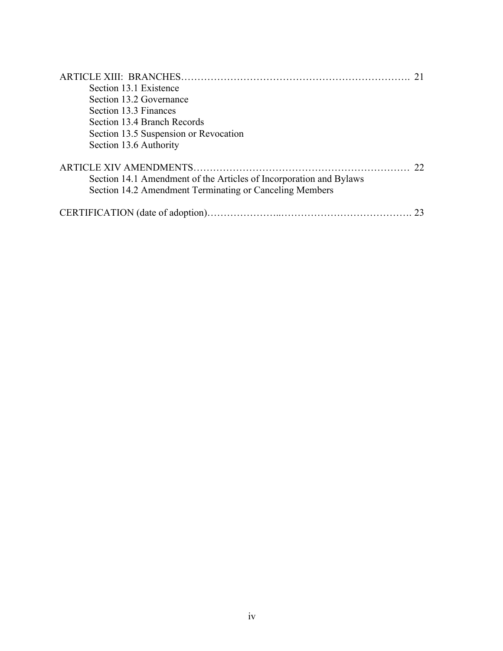| Section 13.1 Existence                                                                                                        |    |
|-------------------------------------------------------------------------------------------------------------------------------|----|
| Section 13.2 Governance                                                                                                       |    |
| Section 13.3 Finances                                                                                                         |    |
| Section 13.4 Branch Records                                                                                                   |    |
| Section 13.5 Suspension or Revocation                                                                                         |    |
| Section 13.6 Authority                                                                                                        |    |
| Section 14.1 Amendment of the Articles of Incorporation and Bylaws<br>Section 14.2 Amendment Terminating or Canceling Members | 22 |
|                                                                                                                               |    |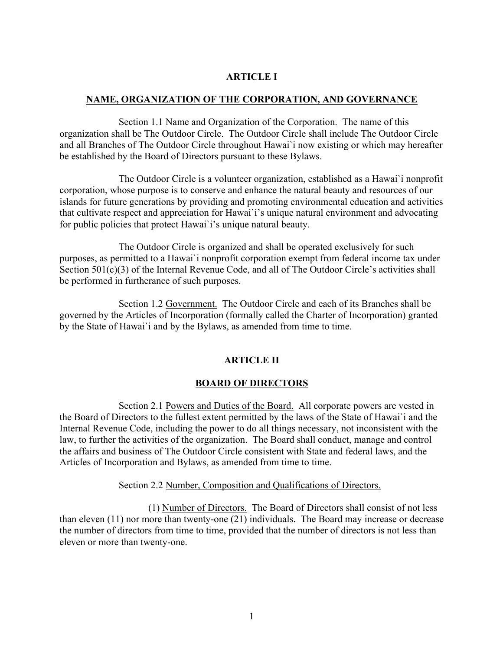## **ARTICLE I**

#### **NAME, ORGANIZATION OF THE CORPORATION, AND GOVERNANCE**

 Section 1.1 Name and Organization of the Corporation. The name of this organization shall be The Outdoor Circle. The Outdoor Circle shall include The Outdoor Circle and all Branches of The Outdoor Circle throughout Hawai`i now existing or which may hereafter be established by the Board of Directors pursuant to these Bylaws.

 The Outdoor Circle is a volunteer organization, established as a Hawai`i nonprofit corporation, whose purpose is to conserve and enhance the natural beauty and resources of our islands for future generations by providing and promoting environmental education and activities that cultivate respect and appreciation for Hawai`i's unique natural environment and advocating for public policies that protect Hawai`i's unique natural beauty.

 The Outdoor Circle is organized and shall be operated exclusively for such purposes, as permitted to a Hawai`i nonprofit corporation exempt from federal income tax under Section 501(c)(3) of the Internal Revenue Code, and all of The Outdoor Circle's activities shall be performed in furtherance of such purposes.

 Section 1.2 Government. The Outdoor Circle and each of its Branches shall be governed by the Articles of Incorporation (formally called the Charter of Incorporation) granted by the State of Hawai`i and by the Bylaws, as amended from time to time.

#### **ARTICLE II**

#### **BOARD OF DIRECTORS**

 Section 2.1 Powers and Duties of the Board. All corporate powers are vested in the Board of Directors to the fullest extent permitted by the laws of the State of Hawai`i and the Internal Revenue Code, including the power to do all things necessary, not inconsistent with the law, to further the activities of the organization. The Board shall conduct, manage and control the affairs and business of The Outdoor Circle consistent with State and federal laws, and the Articles of Incorporation and Bylaws, as amended from time to time.

#### Section 2.2 Number, Composition and Qualifications of Directors.

 (1) Number of Directors. The Board of Directors shall consist of not less than eleven (11) nor more than twenty-one (21) individuals. The Board may increase or decrease the number of directors from time to time, provided that the number of directors is not less than eleven or more than twenty-one.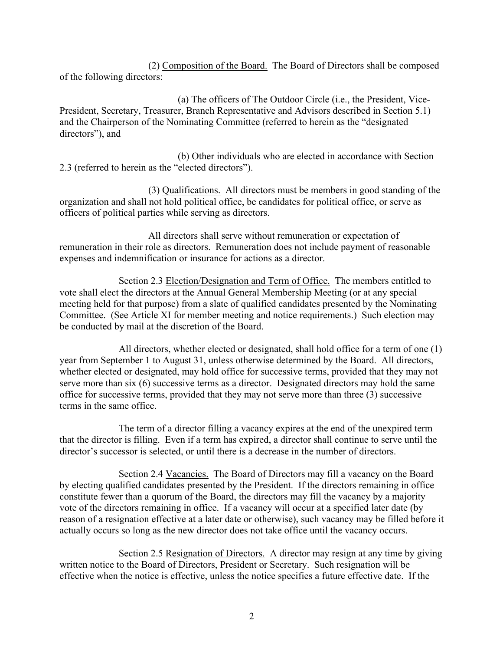(2) Composition of the Board. The Board of Directors shall be composed of the following directors:

 (a) The officers of The Outdoor Circle (i.e., the President, Vice-President, Secretary, Treasurer, Branch Representative and Advisors described in Section 5.1) and the Chairperson of the Nominating Committee (referred to herein as the "designated directors"), and

 (b) Other individuals who are elected in accordance with Section 2.3 (referred to herein as the "elected directors").

 (3) Qualifications. All directors must be members in good standing of the organization and shall not hold political office, be candidates for political office, or serve as officers of political parties while serving as directors.

 All directors shall serve without remuneration or expectation of remuneration in their role as directors. Remuneration does not include payment of reasonable expenses and indemnification or insurance for actions as a director.

 Section 2.3 Election/Designation and Term of Office. The members entitled to vote shall elect the directors at the Annual General Membership Meeting (or at any special meeting held for that purpose) from a slate of qualified candidates presented by the Nominating Committee. (See Article XI for member meeting and notice requirements.) Such election may be conducted by mail at the discretion of the Board.

 All directors, whether elected or designated, shall hold office for a term of one (1) year from September 1 to August 31, unless otherwise determined by the Board. All directors, whether elected or designated, may hold office for successive terms, provided that they may not serve more than six (6) successive terms as a director. Designated directors may hold the same office for successive terms, provided that they may not serve more than three (3) successive terms in the same office.

 The term of a director filling a vacancy expires at the end of the unexpired term that the director is filling. Even if a term has expired, a director shall continue to serve until the director's successor is selected, or until there is a decrease in the number of directors.

 Section 2.4 Vacancies. The Board of Directors may fill a vacancy on the Board by electing qualified candidates presented by the President. If the directors remaining in office constitute fewer than a quorum of the Board, the directors may fill the vacancy by a majority vote of the directors remaining in office. If a vacancy will occur at a specified later date (by reason of a resignation effective at a later date or otherwise), such vacancy may be filled before it actually occurs so long as the new director does not take office until the vacancy occurs.

 Section 2.5 Resignation of Directors. A director may resign at any time by giving written notice to the Board of Directors, President or Secretary. Such resignation will be effective when the notice is effective, unless the notice specifies a future effective date. If the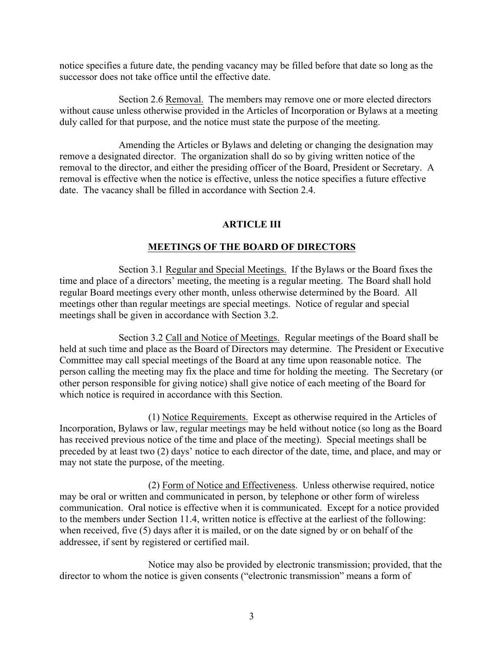notice specifies a future date, the pending vacancy may be filled before that date so long as the successor does not take office until the effective date.

Section 2.6 Removal. The members may remove one or more elected directors without cause unless otherwise provided in the Articles of Incorporation or Bylaws at a meeting duly called for that purpose, and the notice must state the purpose of the meeting.

Amending the Articles or Bylaws and deleting or changing the designation may remove a designated director. The organization shall do so by giving written notice of the removal to the director, and either the presiding officer of the Board, President or Secretary. A removal is effective when the notice is effective, unless the notice specifies a future effective date. The vacancy shall be filled in accordance with Section 2.4.

## **ARTICLE III**

#### **MEETINGS OF THE BOARD OF DIRECTORS**

Section 3.1 Regular and Special Meetings. If the Bylaws or the Board fixes the time and place of a directors' meeting, the meeting is a regular meeting. The Board shall hold regular Board meetings every other month, unless otherwise determined by the Board. All meetings other than regular meetings are special meetings. Notice of regular and special meetings shall be given in accordance with Section 3.2.

Section 3.2 Call and Notice of Meetings. Regular meetings of the Board shall be held at such time and place as the Board of Directors may determine. The President or Executive Committee may call special meetings of the Board at any time upon reasonable notice. The person calling the meeting may fix the place and time for holding the meeting. The Secretary (or other person responsible for giving notice) shall give notice of each meeting of the Board for which notice is required in accordance with this Section.

 (1) Notice Requirements. Except as otherwise required in the Articles of Incorporation, Bylaws or law, regular meetings may be held without notice (so long as the Board has received previous notice of the time and place of the meeting). Special meetings shall be preceded by at least two (2) days' notice to each director of the date, time, and place, and may or may not state the purpose, of the meeting.

 (2) Form of Notice and Effectiveness. Unless otherwise required, notice may be oral or written and communicated in person, by telephone or other form of wireless communication. Oral notice is effective when it is communicated. Except for a notice provided to the members under Section 11.4, written notice is effective at the earliest of the following: when received, five (5) days after it is mailed, or on the date signed by or on behalf of the addressee, if sent by registered or certified mail.

 Notice may also be provided by electronic transmission; provided, that the director to whom the notice is given consents ("electronic transmission" means a form of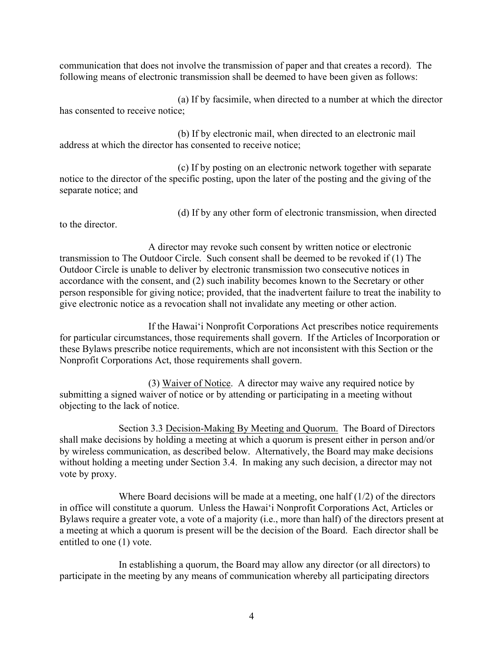communication that does not involve the transmission of paper and that creates a record). The following means of electronic transmission shall be deemed to have been given as follows:

 (a) If by facsimile, when directed to a number at which the director has consented to receive notice;

 (b) If by electronic mail, when directed to an electronic mail address at which the director has consented to receive notice;

 (c) If by posting on an electronic network together with separate notice to the director of the specific posting, upon the later of the posting and the giving of the separate notice; and

(d) If by any other form of electronic transmission, when directed

to the director.

 A director may revoke such consent by written notice or electronic transmission to The Outdoor Circle. Such consent shall be deemed to be revoked if (1) The Outdoor Circle is unable to deliver by electronic transmission two consecutive notices in accordance with the consent, and (2) such inability becomes known to the Secretary or other person responsible for giving notice; provided, that the inadvertent failure to treat the inability to give electronic notice as a revocation shall not invalidate any meeting or other action.

 If the Hawai'i Nonprofit Corporations Act prescribes notice requirements for particular circumstances, those requirements shall govern. If the Articles of Incorporation or these Bylaws prescribe notice requirements, which are not inconsistent with this Section or the Nonprofit Corporations Act, those requirements shall govern.

 (3) Waiver of Notice. A director may waive any required notice by submitting a signed waiver of notice or by attending or participating in a meeting without objecting to the lack of notice.

 Section 3.3 Decision-Making By Meeting and Quorum. The Board of Directors shall make decisions by holding a meeting at which a quorum is present either in person and/or by wireless communication, as described below. Alternatively, the Board may make decisions without holding a meeting under Section 3.4. In making any such decision, a director may not vote by proxy.

Where Board decisions will be made at a meeting, one half  $(1/2)$  of the directors in office will constitute a quorum. Unless the Hawai'i Nonprofit Corporations Act, Articles or Bylaws require a greater vote, a vote of a majority (i.e., more than half) of the directors present at a meeting at which a quorum is present will be the decision of the Board. Each director shall be entitled to one (1) vote.

 In establishing a quorum, the Board may allow any director (or all directors) to participate in the meeting by any means of communication whereby all participating directors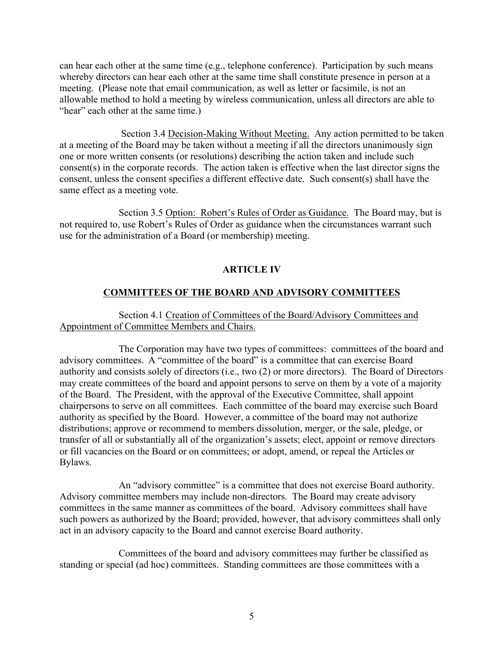can hear each other at the same time (e.g., telephone conference). Participation by such means whereby directors can hear each other at the same time shall constitute presence in person at a meeting. (Please note that email communication, as well as letter or facsimile, is not an allowable method to hold a meeting by wireless communication, unless all directors are able to "hear" each other at the same time.)

Section 3.4 Decision-Making Without Meeting. Any action permitted to be taken at a meeting of the Board may be taken without a meeting if all the directors unanimously sign one or more written consents (or resolutions) describing the action taken and include such consent(s) in the corporate records. The action taken is effective when the last director signs the consent, unless the consent specifies a different effective date. Such consent(s) shall have the same effect as a meeting vote.

 Section 3.5 Option: Robert's Rules of Order as Guidance. The Board may, but is not required to, use Robert's Rules of Order as guidance when the circumstances warrant such use for the administration of a Board (or membership) meeting.

#### **ARTICLE IV**

#### **COMMITTEES OF THE BOARD AND ADVISORY COMMITTEES**

#### Section 4.1 Creation of Committees of the Board/Advisory Committees and Appointment of Committee Members and Chairs.

 The Corporation may have two types of committees: committees of the board and advisory committees. A "committee of the board" is a committee that can exercise Board authority and consists solely of directors (i.e., two (2) or more directors). The Board of Directors may create committees of the board and appoint persons to serve on them by a vote of a majority of the Board. The President, with the approval of the Executive Committee, shall appoint chairpersons to serve on all committees. Each committee of the board may exercise such Board authority as specified by the Board. However, a committee of the board may not authorize distributions; approve or recommend to members dissolution, merger, or the sale, pledge, or transfer of all or substantially all of the organization's assets; elect, appoint or remove directors or fill vacancies on the Board or on committees; or adopt, amend, or repeal the Articles or Bylaws.

 An "advisory committee" is a committee that does not exercise Board authority. Advisory committee members may include non-directors. The Board may create advisory committees in the same manner as committees of the board. Advisory committees shall have such powers as authorized by the Board; provided, however, that advisory committees shall only act in an advisory capacity to the Board and cannot exercise Board authority.

 Committees of the board and advisory committees may further be classified as standing or special (ad hoc) committees. Standing committees are those committees with a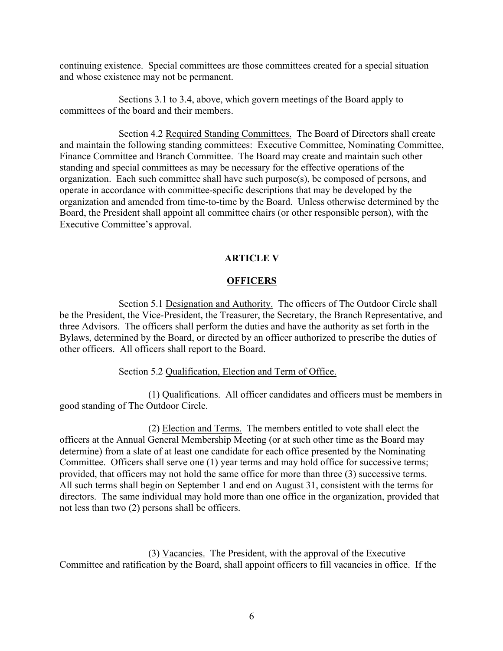continuing existence. Special committees are those committees created for a special situation and whose existence may not be permanent.

 Sections 3.1 to 3.4, above, which govern meetings of the Board apply to committees of the board and their members.

 Section 4.2 Required Standing Committees. The Board of Directors shall create and maintain the following standing committees: Executive Committee, Nominating Committee, Finance Committee and Branch Committee. The Board may create and maintain such other standing and special committees as may be necessary for the effective operations of the organization. Each such committee shall have such purpose(s), be composed of persons, and operate in accordance with committee-specific descriptions that may be developed by the organization and amended from time-to-time by the Board. Unless otherwise determined by the Board, the President shall appoint all committee chairs (or other responsible person), with the Executive Committee's approval.

## **ARTICLE V**

#### **OFFICERS**

Section 5.1 Designation and Authority. The officers of The Outdoor Circle shall be the President, the Vice-President, the Treasurer, the Secretary, the Branch Representative, and three Advisors. The officers shall perform the duties and have the authority as set forth in the Bylaws, determined by the Board, or directed by an officer authorized to prescribe the duties of other officers. All officers shall report to the Board.

#### Section 5.2 Qualification, Election and Term of Office.

 (1) Qualifications. All officer candidates and officers must be members in good standing of The Outdoor Circle.

 (2) Election and Terms. The members entitled to vote shall elect the officers at the Annual General Membership Meeting (or at such other time as the Board may determine) from a slate of at least one candidate for each office presented by the Nominating Committee. Officers shall serve one (1) year terms and may hold office for successive terms; provided, that officers may not hold the same office for more than three (3) successive terms. All such terms shall begin on September 1 and end on August 31, consistent with the terms for directors. The same individual may hold more than one office in the organization, provided that not less than two (2) persons shall be officers.

 (3) Vacancies. The President, with the approval of the Executive Committee and ratification by the Board, shall appoint officers to fill vacancies in office. If the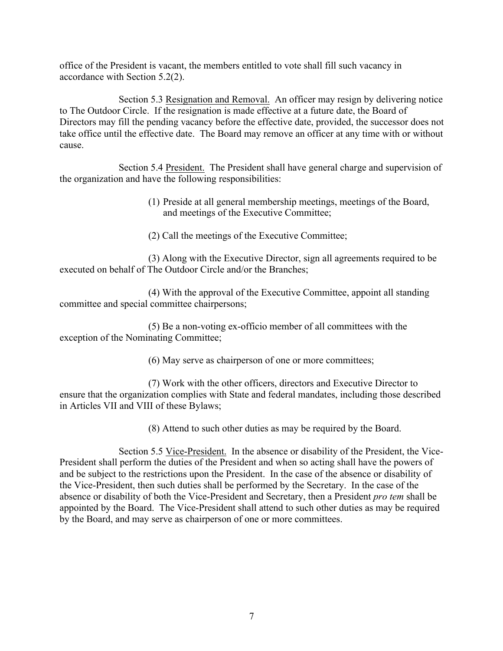office of the President is vacant, the members entitled to vote shall fill such vacancy in accordance with Section 5.2(2).

Section 5.3 Resignation and Removal. An officer may resign by delivering notice to The Outdoor Circle. If the resignation is made effective at a future date, the Board of Directors may fill the pending vacancy before the effective date, provided, the successor does not take office until the effective date. The Board may remove an officer at any time with or without cause.

Section 5.4 President. The President shall have general charge and supervision of the organization and have the following responsibilities:

- (1) Preside at all general membership meetings, meetings of the Board, and meetings of the Executive Committee;
- (2) Call the meetings of the Executive Committee;

 (3) Along with the Executive Director, sign all agreements required to be executed on behalf of The Outdoor Circle and/or the Branches;

 (4) With the approval of the Executive Committee, appoint all standing committee and special committee chairpersons;

 (5) Be a non-voting ex-officio member of all committees with the exception of the Nominating Committee;

(6) May serve as chairperson of one or more committees;

 (7) Work with the other officers, directors and Executive Director to ensure that the organization complies with State and federal mandates, including those described in Articles VII and VIII of these Bylaws;

(8) Attend to such other duties as may be required by the Board.

 Section 5.5 Vice-President. In the absence or disability of the President, the Vice-President shall perform the duties of the President and when so acting shall have the powers of and be subject to the restrictions upon the President. In the case of the absence or disability of the Vice-President, then such duties shall be performed by the Secretary. In the case of the absence or disability of both the Vice-President and Secretary, then a President *pro tem* shall be appointed by the Board. The Vice-President shall attend to such other duties as may be required by the Board, and may serve as chairperson of one or more committees.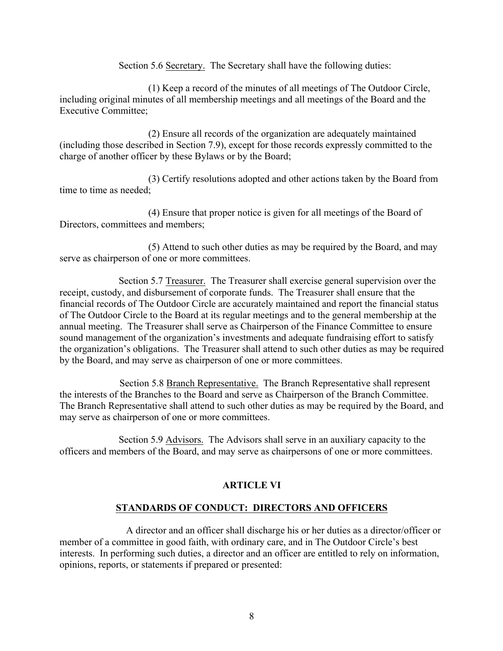Section 5.6 Secretary. The Secretary shall have the following duties:

 (1) Keep a record of the minutes of all meetings of The Outdoor Circle, including original minutes of all membership meetings and all meetings of the Board and the Executive Committee;

 (2) Ensure all records of the organization are adequately maintained (including those described in Section 7.9), except for those records expressly committed to the charge of another officer by these Bylaws or by the Board;

 (3) Certify resolutions adopted and other actions taken by the Board from time to time as needed;

 (4) Ensure that proper notice is given for all meetings of the Board of Directors, committees and members;

 (5) Attend to such other duties as may be required by the Board, and may serve as chairperson of one or more committees.

Section 5.7 Treasurer. The Treasurer shall exercise general supervision over the receipt, custody, and disbursement of corporate funds. The Treasurer shall ensure that the financial records of The Outdoor Circle are accurately maintained and report the financial status of The Outdoor Circle to the Board at its regular meetings and to the general membership at the annual meeting. The Treasurer shall serve as Chairperson of the Finance Committee to ensure sound management of the organization's investments and adequate fundraising effort to satisfy the organization's obligations. The Treasurer shall attend to such other duties as may be required by the Board, and may serve as chairperson of one or more committees.

Section 5.8 Branch Representative. The Branch Representative shall represent the interests of the Branches to the Board and serve as Chairperson of the Branch Committee. The Branch Representative shall attend to such other duties as may be required by the Board, and may serve as chairperson of one or more committees.

 Section 5.9 Advisors. The Advisors shall serve in an auxiliary capacity to the officers and members of the Board, and may serve as chairpersons of one or more committees.

## **ARTICLE VI**

#### **STANDARDS OF CONDUCT: DIRECTORS AND OFFICERS**

 A director and an officer shall discharge his or her duties as a director/officer or member of a committee in good faith, with ordinary care, and in The Outdoor Circle's best interests. In performing such duties, a director and an officer are entitled to rely on information, opinions, reports, or statements if prepared or presented: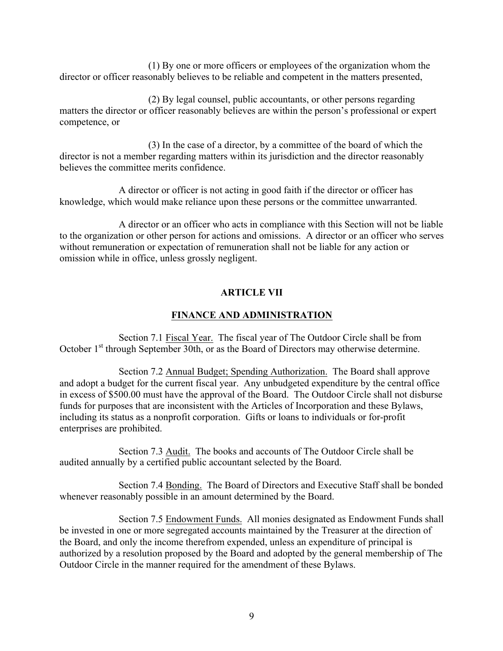(1) By one or more officers or employees of the organization whom the director or officer reasonably believes to be reliable and competent in the matters presented,

 (2) By legal counsel, public accountants, or other persons regarding matters the director or officer reasonably believes are within the person's professional or expert competence, or

 (3) In the case of a director, by a committee of the board of which the director is not a member regarding matters within its jurisdiction and the director reasonably believes the committee merits confidence.

 A director or officer is not acting in good faith if the director or officer has knowledge, which would make reliance upon these persons or the committee unwarranted.

 A director or an officer who acts in compliance with this Section will not be liable to the organization or other person for actions and omissions. A director or an officer who serves without remuneration or expectation of remuneration shall not be liable for any action or omission while in office, unless grossly negligent.

#### **ARTICLE VII**

#### **FINANCE AND ADMINISTRATION**

 Section 7.1 Fiscal Year. The fiscal year of The Outdoor Circle shall be from October 1<sup>st</sup> through September 30th, or as the Board of Directors may otherwise determine.

 Section 7.2 Annual Budget; Spending Authorization. The Board shall approve and adopt a budget for the current fiscal year. Any unbudgeted expenditure by the central office in excess of \$500.00 must have the approval of the Board. The Outdoor Circle shall not disburse funds for purposes that are inconsistent with the Articles of Incorporation and these Bylaws, including its status as a nonprofit corporation. Gifts or loans to individuals or for-profit enterprises are prohibited.

 Section 7.3 Audit. The books and accounts of The Outdoor Circle shall be audited annually by a certified public accountant selected by the Board.

 Section 7.4 Bonding. The Board of Directors and Executive Staff shall be bonded whenever reasonably possible in an amount determined by the Board.

 Section 7.5 Endowment Funds. All monies designated as Endowment Funds shall be invested in one or more segregated accounts maintained by the Treasurer at the direction of the Board, and only the income therefrom expended, unless an expenditure of principal is authorized by a resolution proposed by the Board and adopted by the general membership of The Outdoor Circle in the manner required for the amendment of these Bylaws.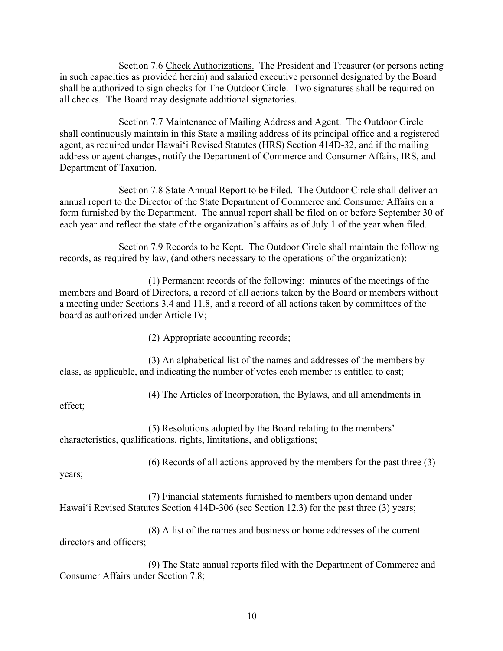Section 7.6 Check Authorizations. The President and Treasurer (or persons acting in such capacities as provided herein) and salaried executive personnel designated by the Board shall be authorized to sign checks for The Outdoor Circle. Two signatures shall be required on all checks. The Board may designate additional signatories.

 Section 7.7 Maintenance of Mailing Address and Agent. The Outdoor Circle shall continuously maintain in this State a mailing address of its principal office and a registered agent, as required under Hawai'i Revised Statutes (HRS) Section 414D-32, and if the mailing address or agent changes, notify the Department of Commerce and Consumer Affairs, IRS, and Department of Taxation.

Section 7.8 State Annual Report to be Filed. The Outdoor Circle shall deliver an annual report to the Director of the State Department of Commerce and Consumer Affairs on a form furnished by the Department. The annual report shall be filed on or before September 30 of each year and reflect the state of the organization's affairs as of July 1 of the year when filed.

 Section 7.9 Records to be Kept. The Outdoor Circle shall maintain the following records, as required by law, (and others necessary to the operations of the organization):

 (1) Permanent records of the following: minutes of the meetings of the members and Board of Directors, a record of all actions taken by the Board or members without a meeting under Sections 3.4 and 11.8, and a record of all actions taken by committees of the board as authorized under Article IV;

(2) Appropriate accounting records;

 (3) An alphabetical list of the names and addresses of the members by class, as applicable, and indicating the number of votes each member is entitled to cast;

(4) The Articles of Incorporation, the Bylaws, and all amendments in

effect;

 (5) Resolutions adopted by the Board relating to the members' characteristics, qualifications, rights, limitations, and obligations;

(6) Records of all actions approved by the members for the past three (3)

years;

 (7) Financial statements furnished to members upon demand under Hawai'i Revised Statutes Section 414D-306 (see Section 12.3) for the past three (3) years;

 (8) A list of the names and business or home addresses of the current directors and officers;

 (9) The State annual reports filed with the Department of Commerce and Consumer Affairs under Section 7.8;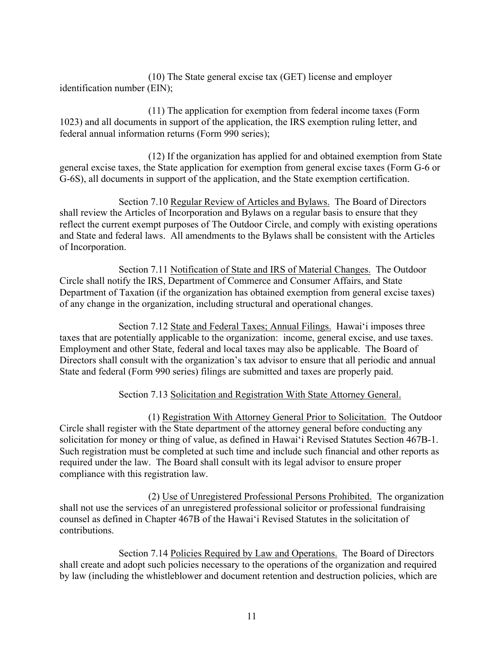(10) The State general excise tax (GET) license and employer identification number (EIN);

 (11) The application for exemption from federal income taxes (Form 1023) and all documents in support of the application, the IRS exemption ruling letter, and federal annual information returns (Form 990 series);

 (12) If the organization has applied for and obtained exemption from State general excise taxes, the State application for exemption from general excise taxes (Form G-6 or G-6S), all documents in support of the application, and the State exemption certification.

 Section 7.10 Regular Review of Articles and Bylaws. The Board of Directors shall review the Articles of Incorporation and Bylaws on a regular basis to ensure that they reflect the current exempt purposes of The Outdoor Circle, and comply with existing operations and State and federal laws. All amendments to the Bylaws shall be consistent with the Articles of Incorporation.

Section 7.11 Notification of State and IRS of Material Changes. The Outdoor Circle shall notify the IRS, Department of Commerce and Consumer Affairs, and State Department of Taxation (if the organization has obtained exemption from general excise taxes) of any change in the organization, including structural and operational changes.

 Section 7.12 State and Federal Taxes; Annual Filings. Hawai'i imposes three taxes that are potentially applicable to the organization: income, general excise, and use taxes. Employment and other State, federal and local taxes may also be applicable. The Board of Directors shall consult with the organization's tax advisor to ensure that all periodic and annual State and federal (Form 990 series) filings are submitted and taxes are properly paid.

Section 7.13 Solicitation and Registration With State Attorney General.

 (1) Registration With Attorney General Prior to Solicitation. The Outdoor Circle shall register with the State department of the attorney general before conducting any solicitation for money or thing of value, as defined in Hawai'i Revised Statutes Section 467B-1. Such registration must be completed at such time and include such financial and other reports as required under the law. The Board shall consult with its legal advisor to ensure proper compliance with this registration law.

 (2) Use of Unregistered Professional Persons Prohibited. The organization shall not use the services of an unregistered professional solicitor or professional fundraising counsel as defined in Chapter 467B of the Hawai'i Revised Statutes in the solicitation of contributions.

 Section 7.14 Policies Required by Law and Operations. The Board of Directors shall create and adopt such policies necessary to the operations of the organization and required by law (including the whistleblower and document retention and destruction policies, which are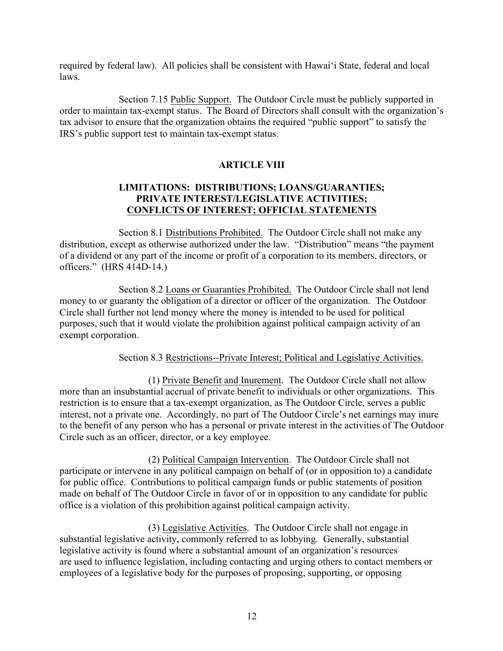required by federal law). All policies shall be consistent with Hawai'i State, federal and local laws.

Section 7.15 Public Support. The Outdoor Circle must be publicly supported in order to maintain tax-exempt status. The Board of Directors shall consult with the organization's tax advisor to ensure that the organization obtains the required "public support" to satisfy the IRS's public support test to maintain tax-exempt status.

## **ARTICLE VIII**

#### **LIMITATIONS: DISTRIBUTIONS; LOANS/GUARANTIES; PRIVATE INTEREST/LEGISLATIVE ACTIVITIES; CONFLICTS OF INTEREST; OFFICIAL STATEMENTS**

Section 8.1 Distributions Prohibited. The Outdoor Circle shall not make any distribution, except as otherwise authorized under the law. "Distribution" means "the payment of a dividend or any part of the income or profit of a corporation to its members, directors, or officers." (HRS 414D-14.)

 Section 8.2 Loans or Guaranties Prohibited. The Outdoor Circle shall not lend money to or guaranty the obligation of a director or officer of the organization. The Outdoor Circle shall further not lend money where the money is intended to be used for political purposes, such that it would violate the prohibition against political campaign activity of an exempt corporation.

#### Section 8.3 Restrictions--Private Interest; Political and Legislative Activities.

(1) Private Benefit and Inurement. The Outdoor Circle shall not allow more than an insubstantial accrual of private benefit to individuals or other organizations. This restriction is to ensure that a tax-exempt organization, as The Outdoor Circle, serves a public interest, not a private one. Accordingly, no part of The Outdoor Circle's net earnings may inure to the benefit of any person who has a personal or private interest in the activities of The Outdoor Circle such as an officer, director, or a key employee.

(2) Political Campaign Intervention. The Outdoor Circle shall not participate or intervene in any political campaign on behalf of (or in opposition to) a candidate for public office. Contributions to political campaign funds or public statements of position made on behalf of The Outdoor Circle in favor of or in opposition to any candidate for public office is a violation of this prohibition against political campaign activity.

(3) Legislative Activities. The Outdoor Circle shall not engage in substantial legislative activity, commonly referred to as lobbying. Generally, substantial legislative activity is found where a substantial amount of an organization's resources are used to influence legislation, including contacting and urging others to contact members or employees of a legislative body for the purposes of proposing, supporting, or opposing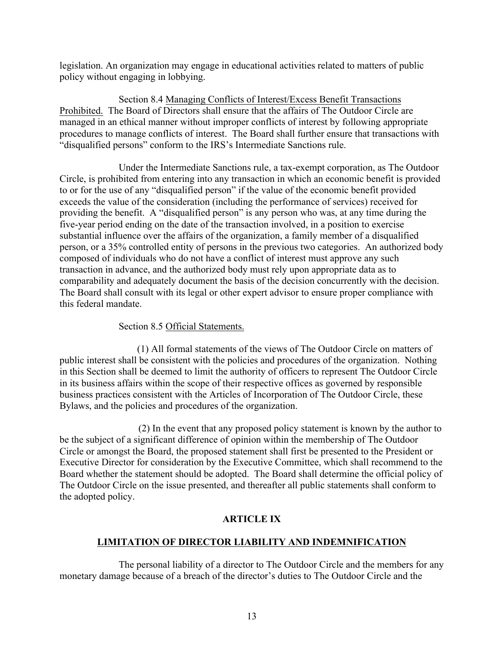legislation. An organization may engage in educational activities related to matters of public policy without engaging in lobbying.

 Section 8.4 Managing Conflicts of Interest/Excess Benefit Transactions Prohibited. The Board of Directors shall ensure that the affairs of The Outdoor Circle are managed in an ethical manner without improper conflicts of interest by following appropriate procedures to manage conflicts of interest. The Board shall further ensure that transactions with "disqualified persons" conform to the IRS's Intermediate Sanctions rule.

 Under the Intermediate Sanctions rule, a tax-exempt corporation, as The Outdoor Circle, is prohibited from entering into any transaction in which an economic benefit is provided to or for the use of any "disqualified person" if the value of the economic benefit provided exceeds the value of the consideration (including the performance of services) received for providing the benefit. A "disqualified person" is any person who was, at any time during the five-year period ending on the date of the transaction involved, in a position to exercise substantial influence over the affairs of the organization, a family member of a disqualified person, or a 35% controlled entity of persons in the previous two categories. An authorized body composed of individuals who do not have a conflict of interest must approve any such transaction in advance, and the authorized body must rely upon appropriate data as to comparability and adequately document the basis of the decision concurrently with the decision. The Board shall consult with its legal or other expert advisor to ensure proper compliance with this federal mandate.

#### Section 8.5 Official Statements.

 (1) All formal statements of the views of The Outdoor Circle on matters of public interest shall be consistent with the policies and procedures of the organization. Nothing in this Section shall be deemed to limit the authority of officers to represent The Outdoor Circle in its business affairs within the scope of their respective offices as governed by responsible business practices consistent with the Articles of Incorporation of The Outdoor Circle, these Bylaws, and the policies and procedures of the organization.

 (2) In the event that any proposed policy statement is known by the author to be the subject of a significant difference of opinion within the membership of The Outdoor Circle or amongst the Board, the proposed statement shall first be presented to the President or Executive Director for consideration by the Executive Committee, which shall recommend to the Board whether the statement should be adopted. The Board shall determine the official policy of The Outdoor Circle on the issue presented, and thereafter all public statements shall conform to the adopted policy.

#### **ARTICLE IX**

## **LIMITATION OF DIRECTOR LIABILITY AND INDEMNIFICATION**

The personal liability of a director to The Outdoor Circle and the members for any monetary damage because of a breach of the director's duties to The Outdoor Circle and the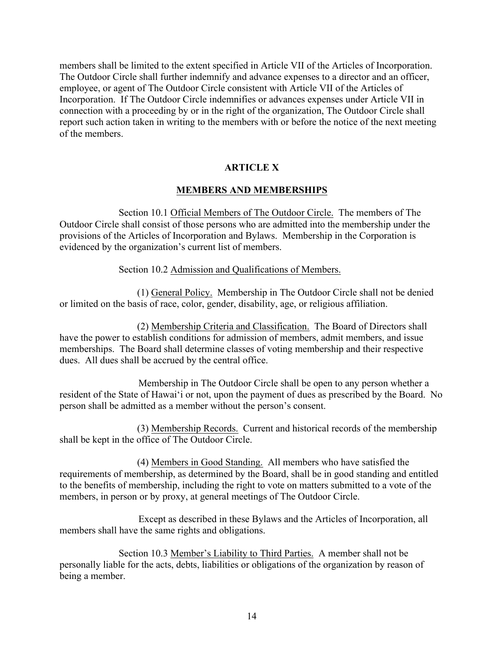members shall be limited to the extent specified in Article VII of the Articles of Incorporation. The Outdoor Circle shall further indemnify and advance expenses to a director and an officer, employee, or agent of The Outdoor Circle consistent with Article VII of the Articles of Incorporation. If The Outdoor Circle indemnifies or advances expenses under Article VII in connection with a proceeding by or in the right of the organization, The Outdoor Circle shall report such action taken in writing to the members with or before the notice of the next meeting of the members.

#### **ARTICLE X**

#### **MEMBERS AND MEMBERSHIPS**

 Section 10.1 Official Members of The Outdoor Circle. The members of The Outdoor Circle shall consist of those persons who are admitted into the membership under the provisions of the Articles of Incorporation and Bylaws. Membership in the Corporation is evidenced by the organization's current list of members.

#### Section 10.2 Admission and Qualifications of Members.

 (1) General Policy. Membership in The Outdoor Circle shall not be denied or limited on the basis of race, color, gender, disability, age, or religious affiliation.

 (2) Membership Criteria and Classification. The Board of Directors shall have the power to establish conditions for admission of members, admit members, and issue memberships. The Board shall determine classes of voting membership and their respective dues. All dues shall be accrued by the central office.

 Membership in The Outdoor Circle shall be open to any person whether a resident of the State of Hawai'i or not, upon the payment of dues as prescribed by the Board. No person shall be admitted as a member without the person's consent.

 (3) Membership Records. Current and historical records of the membership shall be kept in the office of The Outdoor Circle.

 (4) Members in Good Standing. All members who have satisfied the requirements of membership, as determined by the Board, shall be in good standing and entitled to the benefits of membership, including the right to vote on matters submitted to a vote of the members, in person or by proxy, at general meetings of The Outdoor Circle.

Except as described in these Bylaws and the Articles of Incorporation, all members shall have the same rights and obligations.

Section 10.3 Member's Liability to Third Parties. A member shall not be personally liable for the acts, debts, liabilities or obligations of the organization by reason of being a member.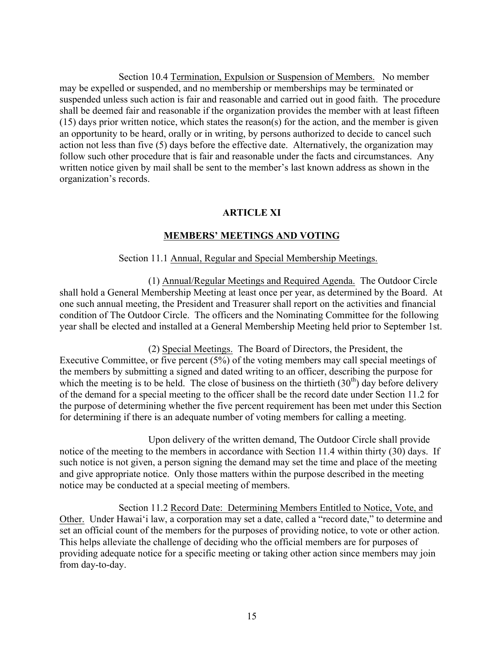Section 10.4 Termination, Expulsion or Suspension of Members. No member may be expelled or suspended, and no membership or memberships may be terminated or suspended unless such action is fair and reasonable and carried out in good faith. The procedure shall be deemed fair and reasonable if the organization provides the member with at least fifteen (15) days prior written notice, which states the reason(s) for the action, and the member is given an opportunity to be heard, orally or in writing, by persons authorized to decide to cancel such action not less than five (5) days before the effective date. Alternatively, the organization may follow such other procedure that is fair and reasonable under the facts and circumstances. Any written notice given by mail shall be sent to the member's last known address as shown in the organization's records.

#### **ARTICLE XI**

#### **MEMBERS' MEETINGS AND VOTING**

#### Section 11.1 Annual, Regular and Special Membership Meetings.

(1) Annual/Regular Meetings and Required Agenda. The Outdoor Circle shall hold a General Membership Meeting at least once per year, as determined by the Board. At one such annual meeting, the President and Treasurer shall report on the activities and financial condition of The Outdoor Circle. The officers and the Nominating Committee for the following year shall be elected and installed at a General Membership Meeting held prior to September 1st.

 (2) Special Meetings. The Board of Directors, the President, the Executive Committee, or five percent (5%) of the voting members may call special meetings of the members by submitting a signed and dated writing to an officer, describing the purpose for which the meeting is to be held. The close of business on the thirtieth  $(30<sup>th</sup>)$  day before delivery of the demand for a special meeting to the officer shall be the record date under Section 11.2 for the purpose of determining whether the five percent requirement has been met under this Section for determining if there is an adequate number of voting members for calling a meeting.

 Upon delivery of the written demand, The Outdoor Circle shall provide notice of the meeting to the members in accordance with Section 11.4 within thirty (30) days. If such notice is not given, a person signing the demand may set the time and place of the meeting and give appropriate notice. Only those matters within the purpose described in the meeting notice may be conducted at a special meeting of members.

 Section 11.2 Record Date: Determining Members Entitled to Notice, Vote, and Other. Under Hawai'i law, a corporation may set a date, called a "record date," to determine and set an official count of the members for the purposes of providing notice, to vote or other action. This helps alleviate the challenge of deciding who the official members are for purposes of providing adequate notice for a specific meeting or taking other action since members may join from day-to-day.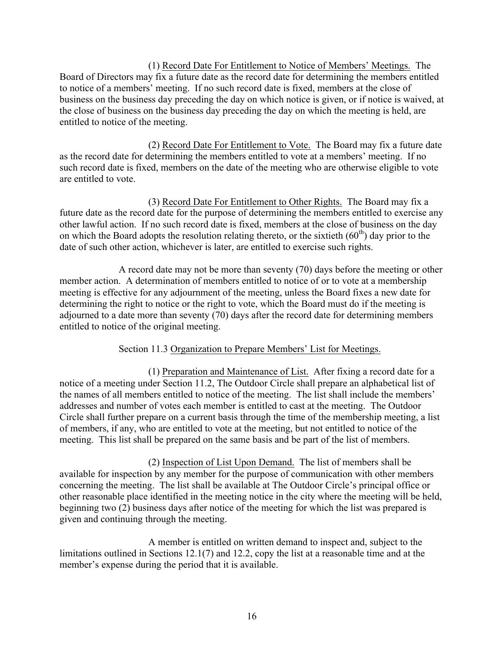(1) Record Date For Entitlement to Notice of Members' Meetings. The Board of Directors may fix a future date as the record date for determining the members entitled to notice of a members' meeting. If no such record date is fixed, members at the close of business on the business day preceding the day on which notice is given, or if notice is waived, at the close of business on the business day preceding the day on which the meeting is held, are entitled to notice of the meeting.

 (2) Record Date For Entitlement to Vote. The Board may fix a future date as the record date for determining the members entitled to vote at a members' meeting. If no such record date is fixed, members on the date of the meeting who are otherwise eligible to vote are entitled to vote.

 (3) Record Date For Entitlement to Other Rights. The Board may fix a future date as the record date for the purpose of determining the members entitled to exercise any other lawful action. If no such record date is fixed, members at the close of business on the day on which the Board adopts the resolution relating thereto, or the sixtieth  $(60<sup>th</sup>)$  day prior to the date of such other action, whichever is later, are entitled to exercise such rights.

 A record date may not be more than seventy (70) days before the meeting or other member action. A determination of members entitled to notice of or to vote at a membership meeting is effective for any adjournment of the meeting, unless the Board fixes a new date for determining the right to notice or the right to vote, which the Board must do if the meeting is adjourned to a date more than seventy (70) days after the record date for determining members entitled to notice of the original meeting.

#### Section 11.3 Organization to Prepare Members' List for Meetings.

 (1) Preparation and Maintenance of List. After fixing a record date for a notice of a meeting under Section 11.2, The Outdoor Circle shall prepare an alphabetical list of the names of all members entitled to notice of the meeting. The list shall include the members' addresses and number of votes each member is entitled to cast at the meeting. The Outdoor Circle shall further prepare on a current basis through the time of the membership meeting, a list of members, if any, who are entitled to vote at the meeting, but not entitled to notice of the meeting. This list shall be prepared on the same basis and be part of the list of members.

 (2) Inspection of List Upon Demand. The list of members shall be available for inspection by any member for the purpose of communication with other members concerning the meeting. The list shall be available at The Outdoor Circle's principal office or other reasonable place identified in the meeting notice in the city where the meeting will be held, beginning two (2) business days after notice of the meeting for which the list was prepared is given and continuing through the meeting.

 A member is entitled on written demand to inspect and, subject to the limitations outlined in Sections 12.1(7) and 12.2, copy the list at a reasonable time and at the member's expense during the period that it is available.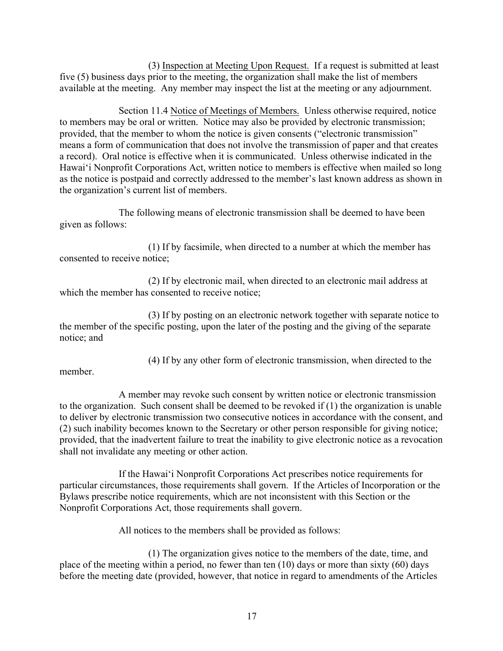(3) Inspection at Meeting Upon Request. If a request is submitted at least five (5) business days prior to the meeting, the organization shall make the list of members available at the meeting. Any member may inspect the list at the meeting or any adjournment.

 Section 11.4 Notice of Meetings of Members. Unless otherwise required, notice to members may be oral or written. Notice may also be provided by electronic transmission; provided, that the member to whom the notice is given consents ("electronic transmission" means a form of communication that does not involve the transmission of paper and that creates a record). Oral notice is effective when it is communicated. Unless otherwise indicated in the Hawai'i Nonprofit Corporations Act, written notice to members is effective when mailed so long as the notice is postpaid and correctly addressed to the member's last known address as shown in the organization's current list of members.

The following means of electronic transmission shall be deemed to have been given as follows:

 (1) If by facsimile, when directed to a number at which the member has consented to receive notice;

 (2) If by electronic mail, when directed to an electronic mail address at which the member has consented to receive notice;

 (3) If by posting on an electronic network together with separate notice to the member of the specific posting, upon the later of the posting and the giving of the separate notice; and

(4) If by any other form of electronic transmission, when directed to the

member.

 A member may revoke such consent by written notice or electronic transmission to the organization. Such consent shall be deemed to be revoked if (1) the organization is unable to deliver by electronic transmission two consecutive notices in accordance with the consent, and (2) such inability becomes known to the Secretary or other person responsible for giving notice; provided, that the inadvertent failure to treat the inability to give electronic notice as a revocation shall not invalidate any meeting or other action.

 If the Hawai'i Nonprofit Corporations Act prescribes notice requirements for particular circumstances, those requirements shall govern. If the Articles of Incorporation or the Bylaws prescribe notice requirements, which are not inconsistent with this Section or the Nonprofit Corporations Act, those requirements shall govern.

All notices to the members shall be provided as follows:

 (1) The organization gives notice to the members of the date, time, and place of the meeting within a period, no fewer than ten (10) days or more than sixty (60) days before the meeting date (provided, however, that notice in regard to amendments of the Articles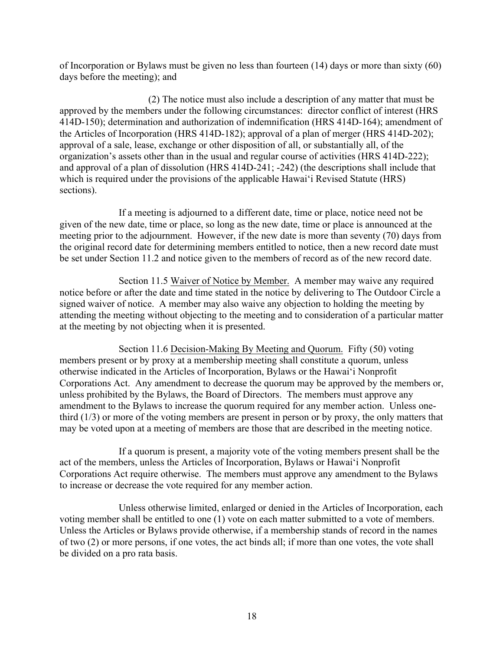of Incorporation or Bylaws must be given no less than fourteen (14) days or more than sixty (60) days before the meeting); and

 (2) The notice must also include a description of any matter that must be approved by the members under the following circumstances: director conflict of interest (HRS 414D-150); determination and authorization of indemnification (HRS 414D-164); amendment of the Articles of Incorporation (HRS 414D-182); approval of a plan of merger (HRS 414D-202); approval of a sale, lease, exchange or other disposition of all, or substantially all, of the organization's assets other than in the usual and regular course of activities (HRS 414D-222); and approval of a plan of dissolution (HRS 414D-241; -242) (the descriptions shall include that which is required under the provisions of the applicable Hawai'i Revised Statute (HRS) sections).

 If a meeting is adjourned to a different date, time or place, notice need not be given of the new date, time or place, so long as the new date, time or place is announced at the meeting prior to the adjournment. However, if the new date is more than seventy (70) days from the original record date for determining members entitled to notice, then a new record date must be set under Section 11.2 and notice given to the members of record as of the new record date.

 Section 11.5 Waiver of Notice by Member. A member may waive any required notice before or after the date and time stated in the notice by delivering to The Outdoor Circle a signed waiver of notice. A member may also waive any objection to holding the meeting by attending the meeting without objecting to the meeting and to consideration of a particular matter at the meeting by not objecting when it is presented.

 Section 11.6 Decision-Making By Meeting and Quorum. Fifty (50) voting members present or by proxy at a membership meeting shall constitute a quorum, unless otherwise indicated in the Articles of Incorporation, Bylaws or the Hawai'i Nonprofit Corporations Act. Any amendment to decrease the quorum may be approved by the members or, unless prohibited by the Bylaws, the Board of Directors. The members must approve any amendment to the Bylaws to increase the quorum required for any member action. Unless onethird (1/3) or more of the voting members are present in person or by proxy, the only matters that may be voted upon at a meeting of members are those that are described in the meeting notice.

 If a quorum is present, a majority vote of the voting members present shall be the act of the members, unless the Articles of Incorporation, Bylaws or Hawai'i Nonprofit Corporations Act require otherwise.The members must approve any amendment to the Bylaws to increase or decrease the vote required for any member action.

 Unless otherwise limited, enlarged or denied in the Articles of Incorporation, each voting member shall be entitled to one (1) vote on each matter submitted to a vote of members. Unless the Articles or Bylaws provide otherwise, if a membership stands of record in the names of two (2) or more persons, if one votes, the act binds all; if more than one votes, the vote shall be divided on a pro rata basis.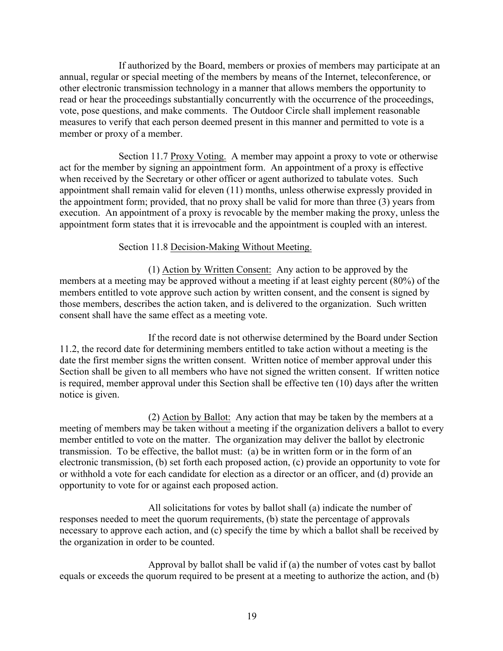If authorized by the Board, members or proxies of members may participate at an annual, regular or special meeting of the members by means of the Internet, teleconference, or other electronic transmission technology in a manner that allows members the opportunity to read or hear the proceedings substantially concurrently with the occurrence of the proceedings, vote, pose questions, and make comments. The Outdoor Circle shall implement reasonable measures to verify that each person deemed present in this manner and permitted to vote is a member or proxy of a member.

Section 11.7 Proxy Voting. A member may appoint a proxy to vote or otherwise act for the member by signing an appointment form. An appointment of a proxy is effective when received by the Secretary or other officer or agent authorized to tabulate votes. Such appointment shall remain valid for eleven (11) months, unless otherwise expressly provided in the appointment form; provided, that no proxy shall be valid for more than three (3) years from execution. An appointment of a proxy is revocable by the member making the proxy, unless the appointment form states that it is irrevocable and the appointment is coupled with an interest.

#### Section 11.8 Decision-Making Without Meeting.

 (1) Action by Written Consent: Any action to be approved by the members at a meeting may be approved without a meeting if at least eighty percent (80%) of the members entitled to vote approve such action by written consent, and the consent is signed by those members, describes the action taken, and is delivered to the organization. Such written consent shall have the same effect as a meeting vote.

 If the record date is not otherwise determined by the Board under Section 11.2, the record date for determining members entitled to take action without a meeting is the date the first member signs the written consent. Written notice of member approval under this Section shall be given to all members who have not signed the written consent. If written notice is required, member approval under this Section shall be effective ten (10) days after the written notice is given.

(2) Action by Ballot: Any action that may be taken by the members at a meeting of members may be taken without a meeting if the organization delivers a ballot to every member entitled to vote on the matter. The organization may deliver the ballot by electronic transmission. To be effective, the ballot must: (a) be in written form or in the form of an electronic transmission, (b) set forth each proposed action, (c) provide an opportunity to vote for or withhold a vote for each candidate for election as a director or an officer, and (d) provide an opportunity to vote for or against each proposed action.

 All solicitations for votes by ballot shall (a) indicate the number of responses needed to meet the quorum requirements, (b) state the percentage of approvals necessary to approve each action, and (c) specify the time by which a ballot shall be received by the organization in order to be counted.

 Approval by ballot shall be valid if (a) the number of votes cast by ballot equals or exceeds the quorum required to be present at a meeting to authorize the action, and (b)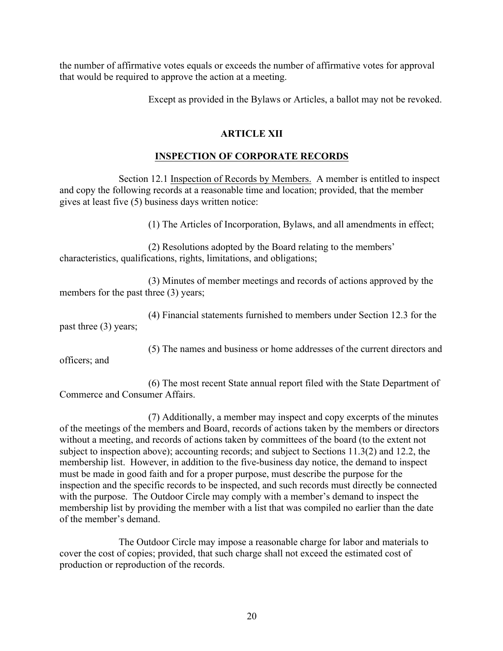the number of affirmative votes equals or exceeds the number of affirmative votes for approval that would be required to approve the action at a meeting.

Except as provided in the Bylaws or Articles, a ballot may not be revoked.

## **ARTICLE XII**

## **INSPECTION OF CORPORATE RECORDS**

 Section 12.1 Inspection of Records by Members. A member is entitled to inspect and copy the following records at a reasonable time and location; provided, that the member gives at least five (5) business days written notice:

(1) The Articles of Incorporation, Bylaws, and all amendments in effect;

 (2) Resolutions adopted by the Board relating to the members' characteristics, qualifications, rights, limitations, and obligations;

 (3) Minutes of member meetings and records of actions approved by the members for the past three (3) years;

 (4) Financial statements furnished to members under Section 12.3 for the past three (3) years;

(5) The names and business or home addresses of the current directors and

officers; and

 (6) The most recent State annual report filed with the State Department of Commerce and Consumer Affairs.

 (7) Additionally, a member may inspect and copy excerpts of the minutes of the meetings of the members and Board, records of actions taken by the members or directors without a meeting, and records of actions taken by committees of the board (to the extent not subject to inspection above); accounting records; and subject to Sections 11.3(2) and 12.2, the membership list. However, in addition to the five-business day notice, the demand to inspect must be made in good faith and for a proper purpose, must describe the purpose for the inspection and the specific records to be inspected, and such records must directly be connected with the purpose. The Outdoor Circle may comply with a member's demand to inspect the membership list by providing the member with a list that was compiled no earlier than the date of the member's demand.

The Outdoor Circle may impose a reasonable charge for labor and materials to cover the cost of copies; provided, that such charge shall not exceed the estimated cost of production or reproduction of the records.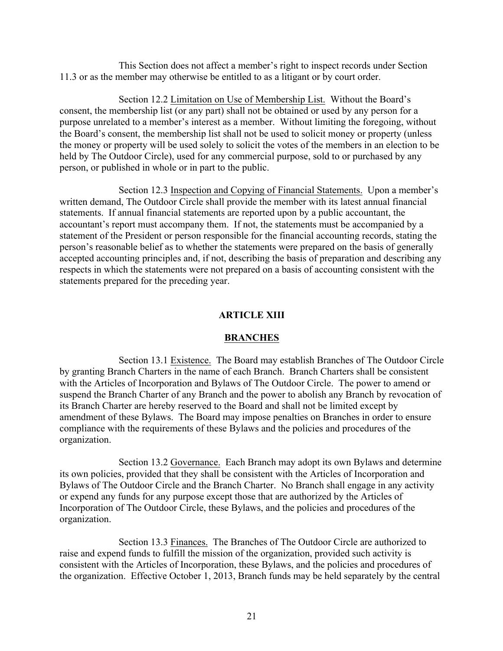This Section does not affect a member's right to inspect records under Section 11.3 or as the member may otherwise be entitled to as a litigant or by court order.

Section 12.2 Limitation on Use of Membership List. Without the Board's consent, the membership list (or any part) shall not be obtained or used by any person for a purpose unrelated to a member's interest as a member. Without limiting the foregoing, without the Board's consent, the membership list shall not be used to solicit money or property (unless the money or property will be used solely to solicit the votes of the members in an election to be held by The Outdoor Circle), used for any commercial purpose, sold to or purchased by any person, or published in whole or in part to the public.

 Section 12.3 Inspection and Copying of Financial Statements. Upon a member's written demand, The Outdoor Circle shall provide the member with its latest annual financial statements. If annual financial statements are reported upon by a public accountant, the accountant's report must accompany them. If not, the statements must be accompanied by a statement of the President or person responsible for the financial accounting records, stating the person's reasonable belief as to whether the statements were prepared on the basis of generally accepted accounting principles and, if not, describing the basis of preparation and describing any respects in which the statements were not prepared on a basis of accounting consistent with the statements prepared for the preceding year.

#### **ARTICLE XIII**

#### **BRANCHES**

 Section 13.1 Existence. The Board may establish Branches of The Outdoor Circle by granting Branch Charters in the name of each Branch. Branch Charters shall be consistent with the Articles of Incorporation and Bylaws of The Outdoor Circle. The power to amend or suspend the Branch Charter of any Branch and the power to abolish any Branch by revocation of its Branch Charter are hereby reserved to the Board and shall not be limited except by amendment of these Bylaws. The Board may impose penalties on Branches in order to ensure compliance with the requirements of these Bylaws and the policies and procedures of the organization.

 Section 13.2 Governance. Each Branch may adopt its own Bylaws and determine its own policies, provided that they shall be consistent with the Articles of Incorporation and Bylaws of The Outdoor Circle and the Branch Charter. No Branch shall engage in any activity or expend any funds for any purpose except those that are authorized by the Articles of Incorporation of The Outdoor Circle, these Bylaws, and the policies and procedures of the organization.

Section 13.3 Finances. The Branches of The Outdoor Circle are authorized to raise and expend funds to fulfill the mission of the organization, provided such activity is consistent with the Articles of Incorporation, these Bylaws, and the policies and procedures of the organization. Effective October 1, 2013, Branch funds may be held separately by the central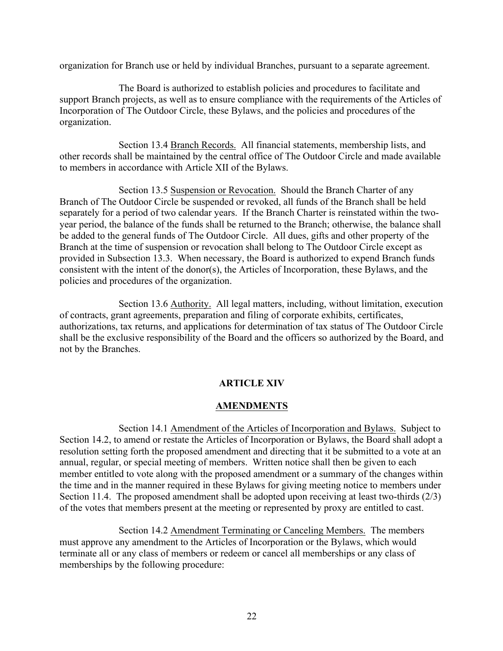organization for Branch use or held by individual Branches, pursuant to a separate agreement.

 The Board is authorized to establish policies and procedures to facilitate and support Branch projects, as well as to ensure compliance with the requirements of the Articles of Incorporation of The Outdoor Circle, these Bylaws, and the policies and procedures of the organization.

 Section 13.4 Branch Records. All financial statements, membership lists, and other records shall be maintained by the central office of The Outdoor Circle and made available to members in accordance with Article XII of the Bylaws.

Section 13.5 Suspension or Revocation. Should the Branch Charter of any Branch of The Outdoor Circle be suspended or revoked, all funds of the Branch shall be held separately for a period of two calendar years. If the Branch Charter is reinstated within the twoyear period, the balance of the funds shall be returned to the Branch; otherwise, the balance shall be added to the general funds of The Outdoor Circle. All dues, gifts and other property of the Branch at the time of suspension or revocation shall belong to The Outdoor Circle except as provided in Subsection 13.3. When necessary, the Board is authorized to expend Branch funds consistent with the intent of the donor(s), the Articles of Incorporation, these Bylaws, and the policies and procedures of the organization.

Section 13.6 Authority. All legal matters, including, without limitation, execution of contracts, grant agreements, preparation and filing of corporate exhibits, certificates, authorizations, tax returns, and applications for determination of tax status of The Outdoor Circle shall be the exclusive responsibility of the Board and the officers so authorized by the Board, and not by the Branches.

#### **ARTICLE XIV**

#### **AMENDMENTS**

Section 14.1 Amendment of the Articles of Incorporation and Bylaws. Subject to Section 14.2, to amend or restate the Articles of Incorporation or Bylaws, the Board shall adopt a resolution setting forth the proposed amendment and directing that it be submitted to a vote at an annual, regular, or special meeting of members. Written notice shall then be given to each member entitled to vote along with the proposed amendment or a summary of the changes within the time and in the manner required in these Bylaws for giving meeting notice to members under Section 11.4. The proposed amendment shall be adopted upon receiving at least two-thirds (2/3) of the votes that members present at the meeting or represented by proxy are entitled to cast.

 Section 14.2 Amendment Terminating or Canceling Members. The members must approve any amendment to the Articles of Incorporation or the Bylaws, which would terminate all or any class of members or redeem or cancel all memberships or any class of memberships by the following procedure: